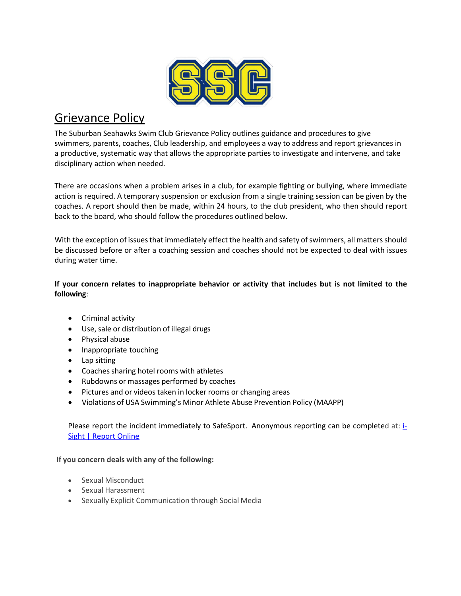

# Grievance Policy

The Suburban Seahawks Swim Club Grievance Policy outlines guidance and procedures to give swimmers, parents, coaches, Club leadership, and employees a way to address and report grievances in a productive, systematic way that allows the appropriate parties to investigate and intervene, and take disciplinary action when needed.

There are occasions when a problem arises in a club, for example fighting or bullying, where immediate action is required. A temporary suspension or exclusion from a single training session can be given by the coaches. A report should then be made, within 24 hours, to the club president, who then should report back to the board, who should follow the procedures outlined below.

With the exception of issues that immediately effect the health and safety of swimmers, all matters should be discussed before or after a coaching session and coaches should not be expected to deal with issues during water time.

**If your concern relates to inappropriate behavior or activity that includes but is not limited to the following**:

- Criminal activity
- Use, sale or distribution of illegal drugs
- Physical abuse
- Inappropriate touching
- Lap sitting
- Coaches sharing hotel rooms with athletes
- Rubdowns or massages performed by coaches
- Pictures and or videos taken in locker rooms or changing areas
- Violations of USA Swimming's Minor Athlete Abuse Prevention Policy (MAAPP)

Please report the incident immediately to SafeSport. Anonymous reporting can be completed at: [i-](https://safesport.i-sight.com/portal)[Sight | Report Online](https://safesport.i-sight.com/portal)

### **If you concern deals with any of the following:**

- Sexual Misconduct
- Sexual Harassment
- Sexually Explicit Communication through Social Media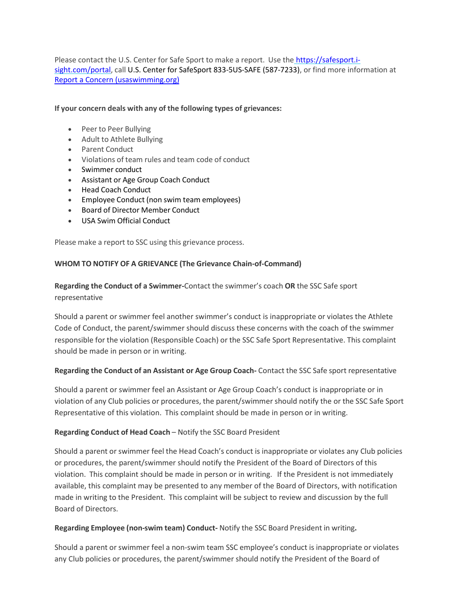Please contact the U.S. Center for Safe Sport to make a report. Use the [https://safesport.i](https://safesport.i-sight.com/portal)[sight.com/portal,](https://safesport.i-sight.com/portal) call U.S. Center for SafeSport 833-5US-SAFE (587-7233), or find more information at [Report a Concern \(usaswimming.org\)](https://www.usaswimming.org/safe-sport/report-a-concern)

#### **If your concern deals with any of the following types of grievances:**

- Peer to Peer Bullying
- Adult to Athlete Bullying
- Parent Conduct
- Violations of team rules and team code of conduct
- Swimmer conduct
- Assistant or Age Group Coach Conduct
- Head Coach Conduct
- Employee Conduct (non swim team employees)
- Board of Director Member Conduct
- USA Swim Official Conduct

Please make a report to SSC using this grievance process.

#### **WHOM TO NOTIFY OF A GRIEVANCE (The Grievance Chain-of-Command)**

# **Regarding the Conduct of a Swimmer-**Contact the swimmer's coach **OR** the SSC Safe sport representative

Should a parent or swimmer feel another swimmer's conduct is inappropriate or violates the Athlete Code of Conduct, the parent/swimmer should discuss these concerns with the coach of the swimmer responsible for the violation (Responsible Coach) or the SSC Safe Sport Representative. This complaint should be made in person or in writing.

### **Regarding the Conduct of an Assistant or Age Group Coach-** Contact the SSC Safe sport representative

Should a parent or swimmer feel an Assistant or Age Group Coach's conduct is inappropriate or in violation of any Club policies or procedures, the parent/swimmer should notify the or the SSC Safe Sport Representative of this violation. This complaint should be made in person or in writing.

### **Regarding Conduct of Head Coach** – Notify the SSC Board President

Should a parent or swimmer feel the Head Coach's conduct is inappropriate or violates any Club policies or procedures, the parent/swimmer should notify the President of the Board of Directors of this violation. This complaint should be made in person or in writing. If the President is not immediately available, this complaint may be presented to any member of the Board of Directors, with notification made in writing to the President. This complaint will be subject to review and discussion by the full Board of Directors.

### **Regarding Employee (non-swim team) Conduct-** Notify the SSC Board President in writing**.**

Should a parent or swimmer feel a non-swim team SSC employee's conduct is inappropriate or violates any Club policies or procedures, the parent/swimmer should notify the President of the Board of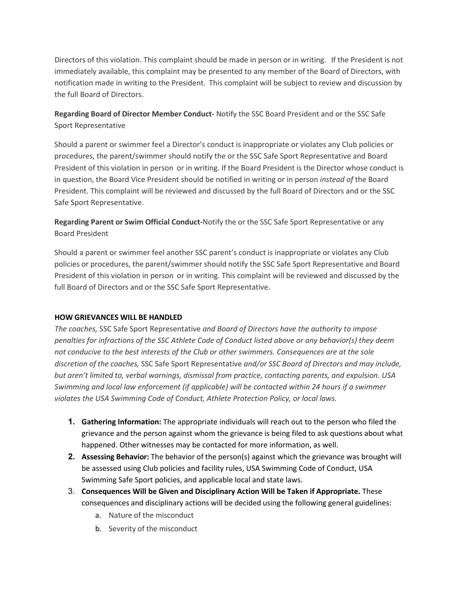Directors of this violation. This complaint should be made in person or in writing. If the President is not immediately available, this complaint may be presented to any member of the Board of Directors, with notification made in writing to the President. This complaint will be subject to review and discussion by the full Board of Directors.

# **Regarding Board of Director Member Conduct-** Notify the SSC Board President and or the SSC Safe Sport Representative

Should a parent or swimmer feel a Director's conduct is inappropriate or violates any Club policies or procedures, the parent/swimmer should notify the or the SSC Safe Sport Representative and Board President of this violation in person or in writing. If the Board President is the Director whose conduct is in question, the Board Vice President should be notified in writing or in person *instead of* the Board President. This complaint will be reviewed and discussed by the full Board of Directors and or the SSC Safe Sport Representative.

**Regarding Parent or Swim Official Conduct-**Notify the or the SSC Safe Sport Representative or any Board President

Should a parent or swimmer feel another SSC parent's conduct is inappropriate or violates any Club policies or procedures, the parent/swimmer should notify the SSC Safe Sport Representative and Board President of this violation in person or in writing. This complaint will be reviewed and discussed by the full Board of Directors and or the SSC Safe Sport Representative.

### **HOW GRIEVANCES WILL BE HANDLED**

*The coaches,* SSC Safe Sport Representative *and Board of Directors have the authority to impose penalties for infractions of the SSC Athlete Code of Conduct listed above or any behavior(s) they deem not conducive to the best interests of the Club or other swimmers. Consequences are at the sole discretion of the coaches,* SSC Safe Sport Representative *and/or SSC Board of Directors and may include, but aren't limited to, verbal warnings, dismissal from practice, contacting parents, and expulsion. USA Swimming and local law enforcement (if applicable) will be contacted within 24 hours if a swimmer violates the USA Swimming Code of Conduct, Athlete Protection Policy, or local laws.*

- **1. Gathering Information:** The appropriate individuals will reach out to the person who filed the grievance and the person against whom the grievance is being filed to ask questions about what happened. Other witnesses may be contacted for more information, as well.
- **2. Assessing Behavior:** The behavior of the person(s) against which the grievance was brought will be assessed using Club policies and facility rules, USA Swimming Code of Conduct, USA Swimming Safe Sport policies, and applicable local and state laws.
- 3. **Consequences Will be Given and Disciplinary Action Will be Taken if Appropriate.** These consequences and disciplinary actions will be decided using the following general guidelines:
	- a. Nature of the misconduct
	- b. Severity of the misconduct